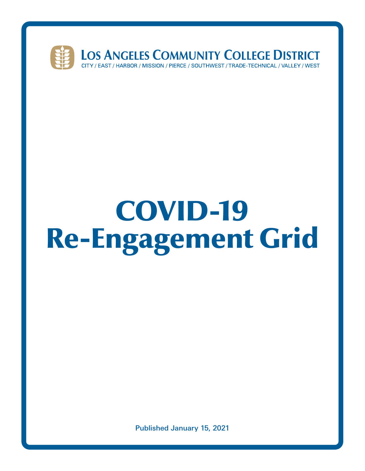

# COVID-19 Re-Engagement Grid

Published January 15, 2021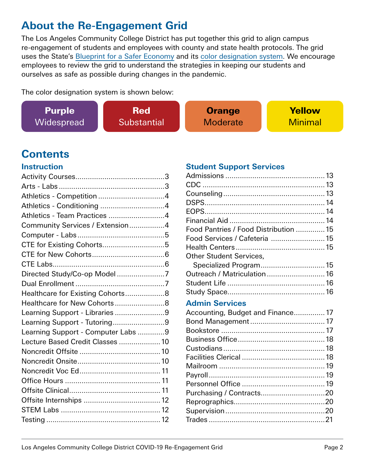#### **About the Re-Engagement Grid**

The Los Angeles Community College District has put together this grid to align campus re-engagement of students and employees with county and state health protocols. The grid uses the State's [Blueprint for a Safer Economy](https://covid19.ca.gov/safer-economy/) and its [color designation system](https://www.cdph.ca.gov/Programs/CID/DCDC/CDPH%20Document%20Library/COVID-19/California-Color-Coded-Tier-System--en.pdf). We encourage employees to review the grid to understand the strategies in keeping our students and ourselves as safe as possible during changes in the pandemic.

The color designation system is shown below:

| <b>Purple</b> | <b>Red</b>                | <b>Orange</b>   | <b>Yellow</b>  |
|---------------|---------------------------|-----------------|----------------|
| Widespread    | <i><b>Substantial</b></i> | <b>Moderate</b> | <b>Minimal</b> |

### **Contents**

#### **Instruction**

| Athletics - Team Practices 4       |  |
|------------------------------------|--|
| Community Services / Extension4    |  |
|                                    |  |
| CTE for Existing Cohorts5          |  |
|                                    |  |
|                                    |  |
| Directed Study/Co-op Model7        |  |
|                                    |  |
| Healthcare for Existing Cohorts8   |  |
| Healthcare for New Cohorts8        |  |
| Learning Support - Libraries 9     |  |
| Learning Support - Tutoring9       |  |
| Learning Support - Computer Labs 9 |  |
| Lecture Based Credit Classes  10   |  |
|                                    |  |
|                                    |  |
|                                    |  |
|                                    |  |
|                                    |  |
|                                    |  |
|                                    |  |
|                                    |  |

#### **Student Support Services**

| Food Pantries / Food Distribution  15 |  |
|---------------------------------------|--|
| Food Services / Cafeteria  15         |  |
|                                       |  |
| <b>Other Student Services,</b>        |  |
| Specialized Program 15                |  |
| Outreach / Matriculation 16           |  |
|                                       |  |
|                                       |  |
| <b>Admin Services</b>                 |  |
| Accounting, Budget and Finance 17     |  |
|                                       |  |
|                                       |  |
|                                       |  |
|                                       |  |
|                                       |  |
|                                       |  |
|                                       |  |
|                                       |  |
|                                       |  |
|                                       |  |
|                                       |  |

Trades [........................................................21](#page-20-0)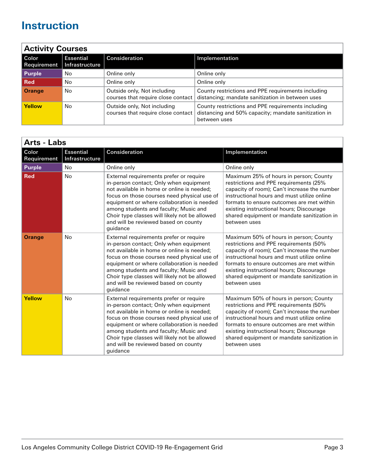<span id="page-2-0"></span>

| <b>Activity Courses</b> |                             |                                                                   |                                                                                                                            |  |
|-------------------------|-----------------------------|-------------------------------------------------------------------|----------------------------------------------------------------------------------------------------------------------------|--|
| Color<br>Requirement    | Essential<br>Infrastructure | Consideration                                                     | Implementation                                                                                                             |  |
| <b>Purple</b>           | No                          | Online only                                                       | Online only                                                                                                                |  |
| ∣ Red                   | No                          | Online only                                                       | Online only                                                                                                                |  |
| <b>Orange</b>           | No                          | Outside only, Not including<br>courses that require close contact | County restrictions and PPE requirements including<br>distancing; mandate sanitization in between uses                     |  |
| Yellow                  | No                          | Outside only, Not including<br>courses that require close contact | County restrictions and PPE requirements including<br>distancing and 50% capacity; mandate sanitization in<br>between uses |  |

| <b>Arts - Labs</b>   |                                    |                                                                                                                                                                                                                                                                                                                                                                            |                                                                                                                                                                                                                                                                                                                                         |  |
|----------------------|------------------------------------|----------------------------------------------------------------------------------------------------------------------------------------------------------------------------------------------------------------------------------------------------------------------------------------------------------------------------------------------------------------------------|-----------------------------------------------------------------------------------------------------------------------------------------------------------------------------------------------------------------------------------------------------------------------------------------------------------------------------------------|--|
| Color<br>Requirement | <b>Essential</b><br>Infrastructure | Consideration                                                                                                                                                                                                                                                                                                                                                              | Implementation                                                                                                                                                                                                                                                                                                                          |  |
| <b>Purple</b>        | <b>No</b>                          | Online only                                                                                                                                                                                                                                                                                                                                                                | Online only                                                                                                                                                                                                                                                                                                                             |  |
| <b>Red</b>           | <b>No</b>                          | External requirements prefer or require<br>in-person contact; Only when equipment<br>not available in home or online is needed;<br>focus on those courses need physical use of<br>equipment or where collaboration is needed<br>among students and faculty; Music and<br>Choir type classes will likely not be allowed<br>and will be reviewed based on county<br>guidance | Maximum 25% of hours in person; County<br>restrictions and PPE requirements (25%<br>capacity of room); Can't increase the number<br>instructional hours and must utilize online<br>formats to ensure outcomes are met within<br>existing instructional hours; Discourage<br>shared equipment or mandate sanitization in<br>between uses |  |
| <b>Orange</b>        | <b>No</b>                          | External requirements prefer or require<br>in-person contact; Only when equipment<br>not available in home or online is needed;<br>focus on those courses need physical use of<br>equipment or where collaboration is needed<br>among students and faculty; Music and<br>Choir type classes will likely not be allowed<br>and will be reviewed based on county<br>guidance | Maximum 50% of hours in person; County<br>restrictions and PPE requirements (50%<br>capacity of room); Can't increase the number<br>instructional hours and must utilize online<br>formats to ensure outcomes are met within<br>existing instructional hours; Discourage<br>shared equipment or mandate sanitization in<br>between uses |  |
| <b>Yellow</b>        | No                                 | External requirements prefer or require<br>in-person contact; Only when equipment<br>not available in home or online is needed;<br>focus on those courses need physical use of<br>equipment or where collaboration is needed<br>among students and faculty; Music and<br>Choir type classes will likely not be allowed<br>and will be reviewed based on county<br>guidance | Maximum 50% of hours in person; County<br>restrictions and PPE requirements (50%<br>capacity of room); Can't increase the number<br>instructional hours and must utilize online<br>formats to ensure outcomes are met within<br>existing instructional hours; Discourage<br>shared equipment or mandate sanitization in<br>between uses |  |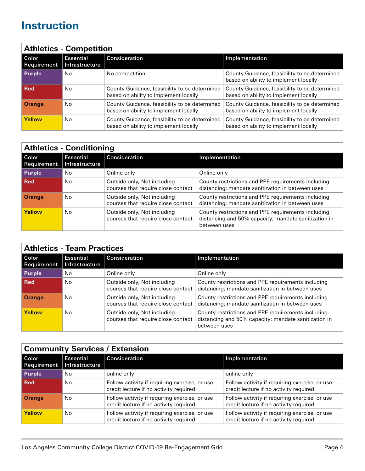<span id="page-3-0"></span>

| <b>Athletics - Competition</b> |                                    |                                                                                        |                                                                                        |
|--------------------------------|------------------------------------|----------------------------------------------------------------------------------------|----------------------------------------------------------------------------------------|
| l Color<br>Requirement         | <b>Essential</b><br>Infrastructure | Consideration                                                                          | Implementation                                                                         |
| Purple                         | No                                 | No competition                                                                         | County Guidance, feasibility to be determined<br>based on ability to implement locally |
| l Red                          | No                                 | County Guidance, feasibility to be determined<br>based on ability to implement locally | County Guidance, feasibility to be determined<br>based on ability to implement locally |
| <b>Orange</b>                  | No                                 | County Guidance, feasibility to be determined<br>based on ability to implement locally | County Guidance, feasibility to be determined<br>based on ability to implement locally |
| Yellow                         | No                                 | County Guidance, feasibility to be determined<br>based on ability to implement locally | County Guidance, feasibility to be determined<br>based on ability to implement locally |

|                      | <b>Athletics - Conditioning</b>    |                                                                   |                                                                                                                            |  |
|----------------------|------------------------------------|-------------------------------------------------------------------|----------------------------------------------------------------------------------------------------------------------------|--|
| Color<br>Requirement | <b>Essential</b><br>Infrastructure | Consideration                                                     | Implementation                                                                                                             |  |
| <b>Purple</b>        | No.                                | Online only                                                       | Online only                                                                                                                |  |
| Red                  | No.                                | Outside only, Not including<br>courses that require close contact | County restrictions and PPE requirements including<br>distancing; mandate sanitization in between uses                     |  |
| <b>Orange</b>        | No.                                | Outside only, Not including<br>courses that require close contact | County restrictions and PPE requirements including<br>distancing; mandate sanitization in between uses                     |  |
| Yellow               | No.                                | Outside only, Not including<br>courses that require close contact | County restrictions and PPE requirements including<br>distancing and 50% capacity; mandate sanitization in<br>between uses |  |

|                      | <b>Athletics - Team Practices</b>         |                                                                   |                                                                                                                            |
|----------------------|-------------------------------------------|-------------------------------------------------------------------|----------------------------------------------------------------------------------------------------------------------------|
| Color<br>Requirement | <b>Essential</b><br><b>Infrastructure</b> | Consideration                                                     | Implementation                                                                                                             |
| <b>Purple</b>        | No                                        | Online only                                                       | Online only                                                                                                                |
| l Red                | No                                        | Outside only, Not including<br>courses that require close contact | County restrictions and PPE requirements including<br>distancing; mandate sanitization in between uses                     |
| <b>Orange</b>        | No                                        | Outside only, Not including<br>courses that require close contact | County restrictions and PPE requirements including<br>distancing; mandate sanitization in between uses                     |
| Yellow               | No                                        | Outside only, Not including<br>courses that require close contact | County restrictions and PPE requirements including<br>distancing and 50% capacity; mandate sanitization in<br>between uses |

| <b>Community Services / Extension</b> |                                    |                                                                                         |                                                                                         |
|---------------------------------------|------------------------------------|-----------------------------------------------------------------------------------------|-----------------------------------------------------------------------------------------|
| l Color<br>Requirement                | <b>Essential</b><br>Infrastructure | Consideration                                                                           | Implementation                                                                          |
| <b>Purple</b>                         | No                                 | online only                                                                             | online only                                                                             |
| l Red                                 | No.                                | Follow activity if requiring exercise, or use<br>credit lecture if no activity required | Follow activity if requiring exercise, or use<br>credit lecture if no activity required |
| <b>Orange</b>                         | No                                 | Follow activity if requiring exercise, or use<br>credit lecture if no activity required | Follow activity if requiring exercise, or use<br>credit lecture if no activity required |
| <b>Yellow</b>                         | No                                 | Follow activity if requiring exercise, or use<br>credit lecture if no activity required | Follow activity if requiring exercise, or use<br>credit lecture if no activity required |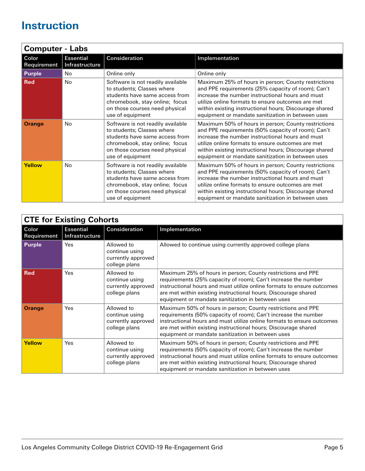<span id="page-4-0"></span>

|                      | <b>Computer - Labs</b>             |                                                                                                                                                                                           |                                                                                                                                                                                                                                                                                                                                   |  |
|----------------------|------------------------------------|-------------------------------------------------------------------------------------------------------------------------------------------------------------------------------------------|-----------------------------------------------------------------------------------------------------------------------------------------------------------------------------------------------------------------------------------------------------------------------------------------------------------------------------------|--|
| Color<br>Requirement | <b>Essential</b><br>Infrastructure | Consideration                                                                                                                                                                             | Implementation                                                                                                                                                                                                                                                                                                                    |  |
| <b>Purple</b>        | No.                                | Online only                                                                                                                                                                               | Online only                                                                                                                                                                                                                                                                                                                       |  |
| <b>Red</b>           | <b>No</b>                          | Software is not readily available<br>to students; Classes where<br>students have same access from<br>chromebook, stay online; focus<br>on those courses need physical<br>use of equipment | Maximum 25% of hours in person; County restrictions<br>and PPE requirements (25% capacity of room); Can't<br>increase the number instructional hours and must<br>utilize online formats to ensure outcomes are met<br>within existing instructional hours; Discourage shared<br>equipment or mandate sanitization in between uses |  |
| <b>Orange</b>        | No.                                | Software is not readily available<br>to students; Classes where<br>students have same access from<br>chromebook, stay online; focus<br>on those courses need physical<br>use of equipment | Maximum 50% of hours in person; County restrictions<br>and PPE requirements (50% capacity of room); Can't<br>increase the number instructional hours and must<br>utilize online formats to ensure outcomes are met<br>within existing instructional hours; Discourage shared<br>equipment or mandate sanitization in between uses |  |
| Yellow               | No.                                | Software is not readily available<br>to students; Classes where<br>students have same access from<br>chromebook, stay online; focus<br>on those courses need physical<br>use of equipment | Maximum 50% of hours in person; County restrictions<br>and PPE requirements (50% capacity of room); Can't<br>increase the number instructional hours and must<br>utilize online formats to ensure outcomes are met<br>within existing instructional hours; Discourage shared<br>equipment or mandate sanitization in between uses |  |

|                      | <b>CTE for Existing Cohorts</b>    |                                                                     |                                                                                                                                                                                                                                                                                                                                |  |
|----------------------|------------------------------------|---------------------------------------------------------------------|--------------------------------------------------------------------------------------------------------------------------------------------------------------------------------------------------------------------------------------------------------------------------------------------------------------------------------|--|
| Color<br>Requirement | <b>Essential</b><br>Infrastructure | Consideration                                                       | Implementation                                                                                                                                                                                                                                                                                                                 |  |
| <b>Purple</b>        | Yes                                | Allowed to<br>continue using<br>currently approved<br>college plans | Allowed to continue using currently approved college plans                                                                                                                                                                                                                                                                     |  |
| <b>Red</b>           | Yes                                | Allowed to<br>continue using<br>currently approved<br>college plans | Maximum 25% of hours in person; County restrictions and PPE<br>requirements (25% capacity of room); Can't increase the number<br>instructional hours and must utilize online formats to ensure outcomes<br>are met within existing instructional hours; Discourage shared<br>equipment or mandate sanitization in between uses |  |
| <b>Orange</b>        | Yes                                | Allowed to<br>continue using<br>currently approved<br>college plans | Maximum 50% of hours in person; County restrictions and PPE<br>requirements (50% capacity of room); Can't increase the number<br>instructional hours and must utilize online formats to ensure outcomes<br>are met within existing instructional hours; Discourage shared<br>equipment or mandate sanitization in between uses |  |
| Yellow               | Yes                                | Allowed to<br>continue using<br>currently approved<br>college plans | Maximum 50% of hours in person; County restrictions and PPE<br>requirements (50% capacity of room); Can't increase the number<br>instructional hours and must utilize online formats to ensure outcomes<br>are met within existing instructional hours; Discourage shared<br>equipment or mandate sanitization in between uses |  |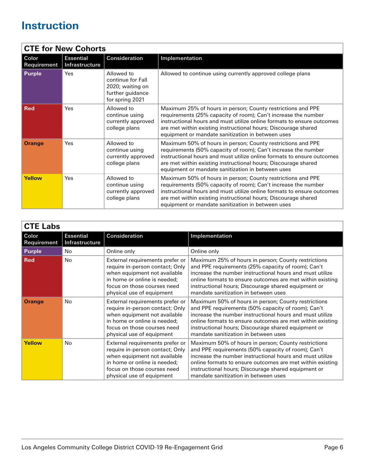<span id="page-5-0"></span>

|                      | <b>CTE for New Cohorts</b>         |                                                                                            |                                                                                                                                                                                                                                                                                                                                |  |
|----------------------|------------------------------------|--------------------------------------------------------------------------------------------|--------------------------------------------------------------------------------------------------------------------------------------------------------------------------------------------------------------------------------------------------------------------------------------------------------------------------------|--|
| Color<br>Requirement | <b>Essential</b><br>Infrastructure | Consideration                                                                              | Implementation                                                                                                                                                                                                                                                                                                                 |  |
| <b>Purple</b>        | Yes                                | Allowed to<br>continue for Fall<br>2020; waiting on<br>further guidance<br>for spring 2021 | Allowed to continue using currently approved college plans                                                                                                                                                                                                                                                                     |  |
| <b>Red</b>           | Yes                                | Allowed to<br>continue using<br>currently approved<br>college plans                        | Maximum 25% of hours in person; County restrictions and PPE<br>requirements (25% capacity of room); Can't increase the number<br>instructional hours and must utilize online formats to ensure outcomes<br>are met within existing instructional hours; Discourage shared<br>equipment or mandate sanitization in between uses |  |
| <b>Orange</b>        | Yes                                | Allowed to<br>continue using<br>currently approved<br>college plans                        | Maximum 50% of hours in person; County restrictions and PPE<br>requirements (50% capacity of room); Can't increase the number<br>instructional hours and must utilize online formats to ensure outcomes<br>are met within existing instructional hours; Discourage shared<br>equipment or mandate sanitization in between uses |  |
| Yellow               | Yes                                | Allowed to<br>continue using<br>currently approved<br>college plans                        | Maximum 50% of hours in person; County restrictions and PPE<br>requirements (50% capacity of room); Can't increase the number<br>instructional hours and must utilize online formats to ensure outcomes<br>are met within existing instructional hours; Discourage shared<br>equipment or mandate sanitization in between uses |  |

| <b>CTE Labs</b>      |                                    |                                                                                                                                                                                                |                                                                                                                                                                                                                                                                                                                                   |  |  |
|----------------------|------------------------------------|------------------------------------------------------------------------------------------------------------------------------------------------------------------------------------------------|-----------------------------------------------------------------------------------------------------------------------------------------------------------------------------------------------------------------------------------------------------------------------------------------------------------------------------------|--|--|
| Color<br>Requirement | <b>Essential</b><br>Infrastructure | Consideration                                                                                                                                                                                  | Implementation                                                                                                                                                                                                                                                                                                                    |  |  |
| <b>Purple</b>        | No.                                | Online only                                                                                                                                                                                    | Online only                                                                                                                                                                                                                                                                                                                       |  |  |
| <b>Red</b>           | <b>No</b>                          | External requirements prefer or<br>require in-person contact; Only<br>when equipment not available<br>in home or online is needed;<br>focus on those courses need<br>physical use of equipment | Maximum 25% of hours in person; County restrictions<br>and PPE requirements (25% capacity of room); Can't<br>increase the number instructional hours and must utilize<br>online formats to ensure outcomes are met within existing<br>instructional hours; Discourage shared equipment or<br>mandate sanitization in between uses |  |  |
| <b>Orange</b>        | No                                 | External requirements prefer or<br>require in-person contact; Only<br>when equipment not available<br>in home or online is needed;<br>focus on those courses need<br>physical use of equipment | Maximum 50% of hours in person; County restrictions<br>and PPE requirements (50% capacity of room); Can't<br>increase the number instructional hours and must utilize<br>online formats to ensure outcomes are met within existing<br>instructional hours; Discourage shared equipment or<br>mandate sanitization in between uses |  |  |
| Yellow               | No.                                | External requirements prefer or<br>require in-person contact; Only<br>when equipment not available<br>in home or online is needed:<br>focus on those courses need<br>physical use of equipment | Maximum 50% of hours in person; County restrictions<br>and PPE requirements (50% capacity of room); Can't<br>increase the number instructional hours and must utilize<br>online formats to ensure outcomes are met within existing<br>instructional hours; Discourage shared equipment or<br>mandate sanitization in between uses |  |  |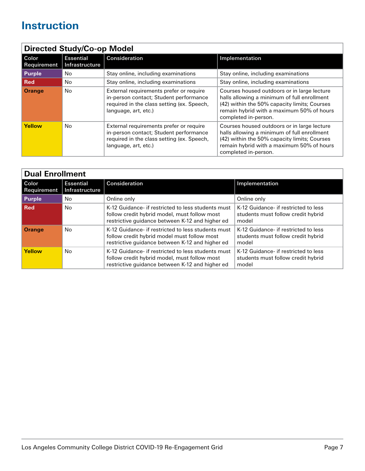<span id="page-6-0"></span>

| <b>Directed Study/Co-op Model</b> |                                    |                                                                                                                                                         |                                                                                                                                                                                                                 |
|-----------------------------------|------------------------------------|---------------------------------------------------------------------------------------------------------------------------------------------------------|-----------------------------------------------------------------------------------------------------------------------------------------------------------------------------------------------------------------|
| Color<br>Requirement              | <b>Essential</b><br>Infrastructure | <b>Consideration</b>                                                                                                                                    | Implementation                                                                                                                                                                                                  |
| Purple                            | No.                                | Stay online, including examinations                                                                                                                     | Stay online, including examinations                                                                                                                                                                             |
| <b>Red</b>                        | No.                                | Stay online, including examinations                                                                                                                     | Stay online, including examinations                                                                                                                                                                             |
| <b>Orange</b>                     | No.                                | External requirements prefer or require<br>in-person contact; Student performance<br>required in the class setting (ex. Speech,<br>language, art, etc.) | Courses housed outdoors or in large lecture<br>halls allowing a minimum of full enrollment<br>(42) within the 50% capacity limits; Courses<br>remain hybrid with a maximum 50% of hours<br>completed in-person. |
| <b>Yellow</b>                     | No                                 | External requirements prefer or require<br>in-person contact; Student performance<br>required in the class setting (ex. Speech,<br>language, art, etc.) | Courses housed outdoors or in large lecture<br>halls allowing a minimum of full enrollment<br>(42) within the 50% capacity limits; Courses<br>remain hybrid with a maximum 50% of hours<br>completed in-person. |

| <b>Dual Enrollment</b> |                                    |                                                                                                                                                       |                                                                                     |  |
|------------------------|------------------------------------|-------------------------------------------------------------------------------------------------------------------------------------------------------|-------------------------------------------------------------------------------------|--|
| l Color<br>Requirement | <b>Essential</b><br>Infrastructure | Consideration                                                                                                                                         | Implementation                                                                      |  |
| Purple                 | No                                 | Online only                                                                                                                                           | Online only                                                                         |  |
| <b>Red</b>             | No.                                | K-12 Guidance- if restricted to less students must<br>follow credit hybrid model, must follow most<br>restrictive guidance between K-12 and higher ed | K-12 Guidance- if restricted to less<br>students must follow credit hybrid<br>model |  |
| <b>Orange</b>          | No                                 | K-12 Guidance- if restricted to less students must<br>follow credit hybrid model must follow most<br>restrictive guidance between K-12 and higher ed  | K-12 Guidance- if restricted to less<br>students must follow credit hybrid<br>model |  |
| Yellow                 | No                                 | K-12 Guidance- if restricted to less students must<br>follow credit hybrid model, must follow most<br>restrictive guidance between K-12 and higher ed | K-12 Guidance- if restricted to less<br>students must follow credit hybrid<br>model |  |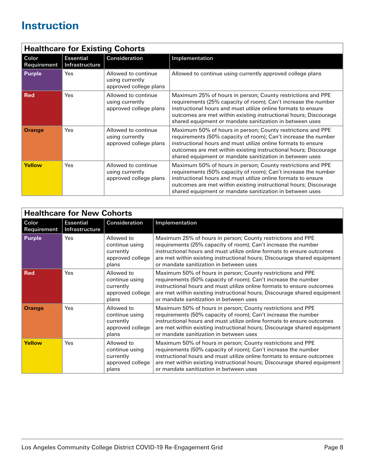<span id="page-7-0"></span>

|                      | <b>Healthcare for Existing Cohorts</b> |                                                                  |                                                                                                                                                                                                                                                                                                                                |  |
|----------------------|----------------------------------------|------------------------------------------------------------------|--------------------------------------------------------------------------------------------------------------------------------------------------------------------------------------------------------------------------------------------------------------------------------------------------------------------------------|--|
| Color<br>Requirement | <b>Essential</b><br>Infrastructure     | Consideration                                                    | Implementation                                                                                                                                                                                                                                                                                                                 |  |
| <b>Purple</b>        | Yes                                    | Allowed to continue<br>using currently<br>approved college plans | Allowed to continue using currently approved college plans                                                                                                                                                                                                                                                                     |  |
| <b>Red</b>           | Yes                                    | Allowed to continue<br>using currently<br>approved college plans | Maximum 25% of hours in person; County restrictions and PPE<br>requirements (25% capacity of room); Can't increase the number<br>instructional hours and must utilize online formats to ensure<br>outcomes are met within existing instructional hours; Discourage<br>shared equipment or mandate sanitization in between uses |  |
| <b>Orange</b>        | Yes                                    | Allowed to continue<br>using currently<br>approved college plans | Maximum 50% of hours in person; County restrictions and PPE<br>requirements (50% capacity of room); Can't increase the number<br>instructional hours and must utilize online formats to ensure<br>outcomes are met within existing instructional hours; Discourage<br>shared equipment or mandate sanitization in between uses |  |
| Yellow               | Yes                                    | Allowed to continue<br>using currently<br>approved college plans | Maximum 50% of hours in person; County restrictions and PPE<br>requirements (50% capacity of room); Can't increase the number<br>instructional hours and must utilize online formats to ensure<br>outcomes are met within existing instructional hours; Discourage<br>shared equipment or mandate sanitization in between uses |  |

|                      | <b>Healthcare for New Cohorts</b>  |                                                                        |                                                                                                                                                                                                                                                                                                                                |  |
|----------------------|------------------------------------|------------------------------------------------------------------------|--------------------------------------------------------------------------------------------------------------------------------------------------------------------------------------------------------------------------------------------------------------------------------------------------------------------------------|--|
| Color<br>Requirement | <b>Essential</b><br>Infrastructure | Consideration                                                          | Implementation                                                                                                                                                                                                                                                                                                                 |  |
| <b>Purple</b>        | Yes                                | Allowed to<br>continue using<br>currently<br>approved college<br>plans | Maximum 25% of hours in person; County restrictions and PPE<br>requirements (25% capacity of room); Can't increase the number<br>instructional hours and must utilize online formats to ensure outcomes<br>are met within existing instructional hours; Discourage shared equipment<br>or mandate sanitization in between uses |  |
| <b>Red</b>           | Yes                                | Allowed to<br>continue using<br>currently<br>approved college<br>plans | Maximum 50% of hours in person; County restrictions and PPE<br>requirements (50% capacity of room); Can't increase the number<br>instructional hours and must utilize online formats to ensure outcomes<br>are met within existing instructional hours; Discourage shared equipment<br>or mandate sanitization in between uses |  |
| <b>Orange</b>        | Yes                                | Allowed to<br>continue using<br>currently<br>approved college<br>plans | Maximum 50% of hours in person; County restrictions and PPE<br>requirements (50% capacity of room); Can't increase the number<br>instructional hours and must utilize online formats to ensure outcomes<br>are met within existing instructional hours; Discourage shared equipment<br>or mandate sanitization in between uses |  |
| Yellow               | Yes                                | Allowed to<br>continue using<br>currently<br>approved college<br>plans | Maximum 50% of hours in person; County restrictions and PPE<br>requirements (50% capacity of room); Can't increase the number<br>instructional hours and must utilize online formats to ensure outcomes<br>are met within existing instructional hours; Discourage shared equipment<br>or mandate sanitization in between uses |  |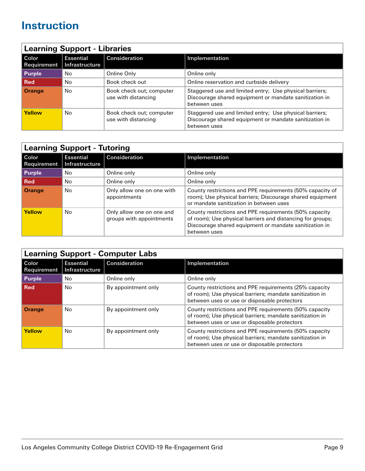<span id="page-8-0"></span>

| <b>Learning Support - Libraries</b> |                                    |                                                 |                                                                                                                                   |
|-------------------------------------|------------------------------------|-------------------------------------------------|-----------------------------------------------------------------------------------------------------------------------------------|
| l Color<br>Requirement              | <b>Essential</b><br>Infrastructure | Consideration                                   | Implementation                                                                                                                    |
| <b>Purple</b>                       | No                                 | Online Only                                     | Online only                                                                                                                       |
| l Red                               | No                                 | Book check out                                  | Online reservation and curbside delivery                                                                                          |
| <b>Orange</b>                       | No                                 | Book check out; computer<br>use with distancing | Staggered use and limited entry; Use physical barriers;<br>Discourage shared equipment or mandate sanitization in<br>between uses |
| Yellow                              | No                                 | Book check out; computer<br>use with distancing | Staggered use and limited entry; Use physical barriers;<br>Discourage shared equipment or mandate sanitization in<br>between uses |

| <b>Learning Support - Tutoring</b> |                                    |                                                       |                                                                                                                                                                                                |
|------------------------------------|------------------------------------|-------------------------------------------------------|------------------------------------------------------------------------------------------------------------------------------------------------------------------------------------------------|
| l Color<br>Requirement             | <b>Essential</b><br>Infrastructure | Consideration                                         | Implementation                                                                                                                                                                                 |
| Purple                             | No                                 | Online only                                           | Online only                                                                                                                                                                                    |
| Red                                | No                                 | Online only                                           | Online only                                                                                                                                                                                    |
| <b>Orange</b>                      | No                                 | Only allow one on one with<br>appointments            | County restrictions and PPE requirements (50% capacity of<br>room); Use physical barriers; Discourage shared equipment<br>or mandate sanitization in between uses                              |
| Yellow                             | No                                 | Only allow one on one and<br>groups with appointments | County restrictions and PPE requirements (50% capacity<br>of room); Use physical barriers and distancing for groups;<br>Discourage shared equipment or mandate sanitization in<br>between uses |

| <b>Learning Support - Computer Labs</b> |                                    |                     |                                                                                                                                                                    |
|-----------------------------------------|------------------------------------|---------------------|--------------------------------------------------------------------------------------------------------------------------------------------------------------------|
| Color<br>Requirement                    | <b>Essential</b><br>Infrastructure | Consideration       | Implementation                                                                                                                                                     |
| Purple                                  | No.                                | Online only         | Online only                                                                                                                                                        |
| <b>Red</b>                              | No.                                | By appointment only | County restrictions and PPE requirements (25% capacity<br>of room); Use physical barriers; mandate sanitization in<br>between uses or use or disposable protectors |
| <b>Orange</b>                           | No.                                | By appointment only | County restrictions and PPE requirements (50% capacity<br>of room); Use physical barriers; mandate sanitization in<br>between uses or use or disposable protectors |
| Yellow                                  | No.                                | By appointment only | County restrictions and PPE requirements (50% capacity<br>of room); Use physical barriers; mandate sanitization in<br>between uses or use or disposable protectors |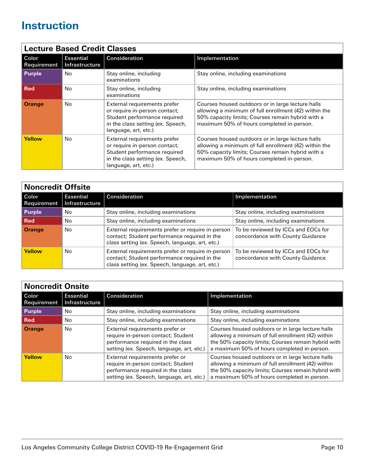<span id="page-9-0"></span>

|                             | <b>Lecture Based Credit Classes</b> |                                                                                                                                                            |                                                                                                                                                                                                              |  |
|-----------------------------|-------------------------------------|------------------------------------------------------------------------------------------------------------------------------------------------------------|--------------------------------------------------------------------------------------------------------------------------------------------------------------------------------------------------------------|--|
| Color<br><b>Requirement</b> | <b>Essential</b><br>Infrastructure  | Consideration                                                                                                                                              | Implementation                                                                                                                                                                                               |  |
| <b>Purple</b>               | No.                                 | Stay online, including<br>examinations                                                                                                                     | Stay online, including examinations                                                                                                                                                                          |  |
| <b>Red</b>                  | No.                                 | Stay online, including<br>examinations                                                                                                                     | Stay online, including examinations                                                                                                                                                                          |  |
| <b>Orange</b>               | No.                                 | External requirements prefer<br>or require in-person contact;<br>Student performance required<br>in the class setting (ex. Speech,<br>language, art, etc.) | Courses housed outdoors or in large lecture halls<br>allowing a minimum of full enrollment (42) within the<br>50% capacity limits; Courses remain hybrid with a<br>maximum 50% of hours completed in-person. |  |
| <b>Yellow</b>               | No.                                 | External requirements prefer<br>or require in-person contact;<br>Student performance required<br>in the class setting (ex. Speech,<br>language, art, etc.) | Courses housed outdoors or in large lecture halls<br>allowing a minimum of full enrollment (42) within the<br>50% capacity limits; Courses remain hybrid with a<br>maximum 50% of hours completed in-person. |  |

| <b>Noncredit Offsite</b> |                                           |                                                                                                                                                      |                                                                         |  |
|--------------------------|-------------------------------------------|------------------------------------------------------------------------------------------------------------------------------------------------------|-------------------------------------------------------------------------|--|
| l Color<br>Requirement   | <b>Essential</b><br><b>Infrastructure</b> | Consideration                                                                                                                                        | Implementation                                                          |  |
| <b>Purple</b>            | No                                        | Stay online, including examinations                                                                                                                  | Stay online, including examinations                                     |  |
| <b>Red</b>               | No.                                       | Stay online, including examinations                                                                                                                  | Stay online, including examinations                                     |  |
| <b>Orange</b>            | No.                                       | External requirements prefer or require in-person<br>contact; Student performance required in the<br>class setting (ex. Speech, language, art, etc.) | To be reviewed by ICCs and EOCs for<br>concordance with County Guidance |  |
| <b>Yellow</b>            | No                                        | External requirements prefer or require in-person<br>contact; Student performance required in the<br>class setting (ex. Speech, language, art, etc.) | To be reviewed by ICCs and EOCs for<br>concordance with County Guidance |  |

| <b>Noncredit Onsite</b> |                                           |                                                                                                                                                         |                                                                                                                                                                                                              |
|-------------------------|-------------------------------------------|---------------------------------------------------------------------------------------------------------------------------------------------------------|--------------------------------------------------------------------------------------------------------------------------------------------------------------------------------------------------------------|
| Color<br>Requirement    | <b>Essential</b><br><b>Infrastructure</b> | Consideration                                                                                                                                           | Implementation                                                                                                                                                                                               |
| <b>Purple</b>           | No.                                       | Stay online, including examinations                                                                                                                     | Stay online, including examinations                                                                                                                                                                          |
| l Red                   | No.                                       | Stay online, including examinations                                                                                                                     | Stay online, including examinations                                                                                                                                                                          |
| <b>Orange</b>           | No.                                       | External requirements prefer or<br>require in-person contact; Student<br>performance required in the class<br>setting (ex. Speech, language, art, etc.) | Courses housed outdoors or in large lecture halls<br>allowing a minimum of full enrollment (42) within<br>the 50% capacity limits; Courses remain hybrid with<br>a maximum 50% of hours completed in-person. |
| <b>Yellow</b>           | No.                                       | External requirements prefer or<br>require in-person contact; Student<br>performance required in the class<br>setting (ex. Speech, language, art, etc.) | Courses housed outdoors or in large lecture halls<br>allowing a minimum of full enrollment (42) within<br>the 50% capacity limits; Courses remain hybrid with<br>a maximum 50% of hours completed in-person. |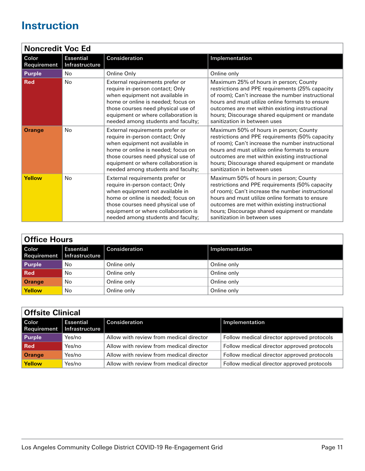<span id="page-10-0"></span>

|                      | <b>Noncredit Voc Ed</b>            |                                                                                                                                                                                                                                                                |                                                                                                                                                                                                                                                                                                                                      |  |  |
|----------------------|------------------------------------|----------------------------------------------------------------------------------------------------------------------------------------------------------------------------------------------------------------------------------------------------------------|--------------------------------------------------------------------------------------------------------------------------------------------------------------------------------------------------------------------------------------------------------------------------------------------------------------------------------------|--|--|
| Color<br>Requirement | <b>Essential</b><br>Infrastructure | Consideration                                                                                                                                                                                                                                                  | Implementation                                                                                                                                                                                                                                                                                                                       |  |  |
| <b>Purple</b>        | No                                 | Online Only                                                                                                                                                                                                                                                    | Online only                                                                                                                                                                                                                                                                                                                          |  |  |
| <b>Red</b>           | <b>No</b>                          | External requirements prefer or<br>require in-person contact; Only<br>when equipment not available in<br>home or online is needed; focus on<br>those courses need physical use of<br>equipment or where collaboration is<br>needed among students and faculty; | Maximum 25% of hours in person; County<br>restrictions and PPE requirements (25% capacity<br>of room); Can't increase the number instructional<br>hours and must utilize online formats to ensure<br>outcomes are met within existing instructional<br>hours; Discourage shared equipment or mandate<br>sanitization in between uses |  |  |
| <b>Orange</b>        | No                                 | External requirements prefer or<br>require in-person contact; Only<br>when equipment not available in<br>home or online is needed; focus on<br>those courses need physical use of<br>equipment or where collaboration is<br>needed among students and faculty; | Maximum 50% of hours in person; County<br>restrictions and PPE requirements (50% capacity<br>of room); Can't increase the number instructional<br>hours and must utilize online formats to ensure<br>outcomes are met within existing instructional<br>hours; Discourage shared equipment or mandate<br>sanitization in between uses |  |  |
| Yellow               | No                                 | External requirements prefer or<br>require in-person contact; Only<br>when equipment not available in<br>home or online is needed; focus on<br>those courses need physical use of<br>equipment or where collaboration is<br>needed among students and faculty; | Maximum 50% of hours in person; County<br>restrictions and PPE requirements (50% capacity<br>of room); Can't increase the number instructional<br>hours and must utilize online formats to ensure<br>outcomes are met within existing instructional<br>hours; Discourage shared equipment or mandate<br>sanitization in between uses |  |  |

| <b>Office Hours</b> |                                                  |               |                |
|---------------------|--------------------------------------------------|---------------|----------------|
| Color               | <b>Essential</b><br>Requirement   Infrastructure | Consideration | Implementation |
| <b>Purple</b>       | No                                               | Online only   | Online only    |
| Red                 | No                                               | Online only   | Online only    |
| Orange              | No                                               | Online only   | Online only    |
| Yellow              | No                                               | Online only   | Online only    |

| <b>Offsite Clinical</b> |                                                  |                                         |                                            |
|-------------------------|--------------------------------------------------|-----------------------------------------|--------------------------------------------|
| l Color                 | <b>Essential</b><br>Requirement   Infrastructure | <b>Consideration</b>                    | Implementation                             |
| Purple                  | Yes/no                                           | Allow with review from medical director | Follow medical director approved protocols |
| Red                     | Yes/no                                           | Allow with review from medical director | Follow medical director approved protocols |
| Orange                  | Yes/no                                           | Allow with review from medical director | Follow medical director approved protocols |
| Yellow                  | Yes/no                                           | Allow with review from medical director | Follow medical director approved protocols |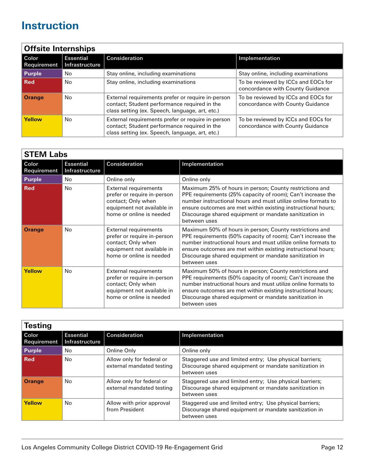<span id="page-11-0"></span>

| <b>Offsite Internships</b>  |                                    |                                                                                                                                                      |                                                                         |
|-----------------------------|------------------------------------|------------------------------------------------------------------------------------------------------------------------------------------------------|-------------------------------------------------------------------------|
| Color<br><b>Requirement</b> | <b>Essential</b><br>Infrastructure | Consideration                                                                                                                                        | Implementation                                                          |
| <b>Purple</b>               | No                                 | Stay online, including examinations                                                                                                                  | Stay online, including examinations                                     |
| l Red                       | No                                 | Stay online, including examinations                                                                                                                  | To be reviewed by ICCs and EOCs for<br>concordance with County Guidance |
| <b>Orange</b>               | No                                 | External requirements prefer or require in-person<br>contact; Student performance required in the<br>class setting (ex. Speech, language, art, etc.) | To be reviewed by ICCs and EOCs for<br>concordance with County Guidance |
| <b>Yellow</b>               | No                                 | External requirements prefer or require in-person<br>contact; Student performance required in the<br>class setting (ex. Speech, language, art, etc.) | To be reviewed by ICCs and EOCs for<br>concordance with County Guidance |

| <b>STEM Labs</b>     |                                    |                                                                                                                                             |                                                                                                                                                                                                                                                                                                                                   |
|----------------------|------------------------------------|---------------------------------------------------------------------------------------------------------------------------------------------|-----------------------------------------------------------------------------------------------------------------------------------------------------------------------------------------------------------------------------------------------------------------------------------------------------------------------------------|
| Color<br>Requirement | <b>Essential</b><br>Infrastructure | Consideration                                                                                                                               | Implementation                                                                                                                                                                                                                                                                                                                    |
| <b>Purple</b>        | No                                 | Online only                                                                                                                                 | Online only                                                                                                                                                                                                                                                                                                                       |
| <b>Red</b>           | No                                 | <b>External requirements</b><br>prefer or require in-person<br>contact; Only when<br>equipment not available in<br>home or online is needed | Maximum 25% of hours in person; County restrictions and<br>PPE requirements (25% capacity of room); Can't increase the<br>number instructional hours and must utilize online formats to<br>ensure outcomes are met within existing instructional hours;<br>Discourage shared equipment or mandate sanitization in<br>between uses |
| <b>Orange</b>        | No.                                | <b>External requirements</b><br>prefer or require in-person<br>contact; Only when<br>equipment not available in<br>home or online is needed | Maximum 50% of hours in person; County restrictions and<br>PPE requirements (50% capacity of room); Can't increase the<br>number instructional hours and must utilize online formats to<br>ensure outcomes are met within existing instructional hours;<br>Discourage shared equipment or mandate sanitization in<br>between uses |
| Yellow               | No.                                | External requirements<br>prefer or require in-person<br>contact; Only when<br>equipment not available in<br>home or online is needed        | Maximum 50% of hours in person; County restrictions and<br>PPE requirements (50% capacity of room); Can't increase the<br>number instructional hours and must utilize online formats to<br>ensure outcomes are met within existing instructional hours;<br>Discourage shared equipment or mandate sanitization in<br>between uses |

| <b>Testing</b>       |                                    |                                                        |                                                                                                                                   |
|----------------------|------------------------------------|--------------------------------------------------------|-----------------------------------------------------------------------------------------------------------------------------------|
| Color<br>Requirement | <b>Essential</b><br>Infrastructure | Consideration                                          | Implementation                                                                                                                    |
| <b>Purple</b>        | No                                 | Online Only                                            | Online only                                                                                                                       |
| l Red                | No.                                | Allow only for federal or<br>external mandated testing | Staggered use and limited entry; Use physical barriers;<br>Discourage shared equipment or mandate sanitization in<br>between uses |
| <b>Orange</b>        | No.                                | Allow only for federal or<br>external mandated testing | Staggered use and limited entry; Use physical barriers;<br>Discourage shared equipment or mandate sanitization in<br>between uses |
| Yellow               | No                                 | Allow with prior approval<br>from President            | Staggered use and limited entry; Use physical barriers;<br>Discourage shared equipment or mandate sanitization in<br>between uses |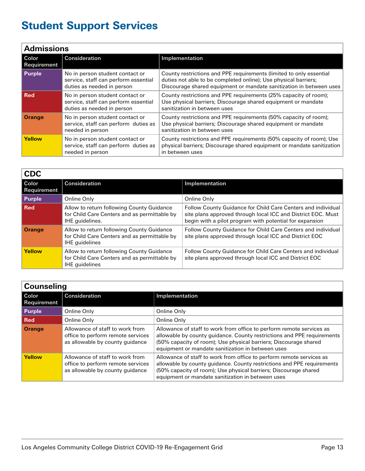<span id="page-12-0"></span>

| <b>Admissions</b>    |                                                                                                       |                                                                                                                                                                                                               |  |
|----------------------|-------------------------------------------------------------------------------------------------------|---------------------------------------------------------------------------------------------------------------------------------------------------------------------------------------------------------------|--|
| Color<br>Requirement | Consideration                                                                                         | Implementation                                                                                                                                                                                                |  |
| <b>Purple</b>        | No in person student contact or<br>service, staff can perform essential<br>duties as needed in person | County restrictions and PPE requirements (limited to only essential<br>duties not able to be completed online); Use physical barriers;<br>Discourage shared equipment or mandate sanitization in between uses |  |
| <b>Red</b>           | No in person student contact or<br>service, staff can perform essential<br>duties as needed in person | County restrictions and PPE requirements (25% capacity of room);<br>Use physical barriers; Discourage shared equipment or mandate<br>sanitization in between uses                                             |  |
| <b>Orange</b>        | No in person student contact or<br>service, staff can perform duties as<br>needed in person           | County restrictions and PPE requirements (50% capacity of room);<br>Use physical barriers; Discourage shared equipment or mandate<br>sanitization in between uses                                             |  |
| <b>Yellow</b>        | No in person student contact or<br>service, staff can perform duties as<br>needed in person           | County restrictions and PPE requirements (50% capacity of room); Use<br>physical barriers; Discourage shared equipment or mandate sanitization<br>in between uses                                             |  |

| <b>CDC</b>             |                                                                                                                    |                                                                                                                                                                                         |
|------------------------|--------------------------------------------------------------------------------------------------------------------|-----------------------------------------------------------------------------------------------------------------------------------------------------------------------------------------|
| l Color<br>Requirement | Consideration                                                                                                      | Implementation                                                                                                                                                                          |
| Purple                 | Online Only                                                                                                        | Online Only                                                                                                                                                                             |
| <b>Red</b>             | Allow to return following County Guidance<br>for Child Care Centers and as permittable by<br>IHE guidelines.       | Follow County Guidance for Child Care Centers and individual<br>site plans approved through local ICC and District EOC. Must<br>begin with a pilot program with potential for expansion |
| <b>Orange</b>          | Allow to return following County Guidance<br>for Child Care Centers and as permittable by<br><b>IHE</b> quidelines | Follow County Guidance for Child Care Centers and individual<br>site plans approved through local ICC and District EOC                                                                  |
| <b>Yellow</b>          | Allow to return following County Guidance<br>for Child Care Centers and as permittable by<br><b>IHE</b> quidelines | Follow County Guidance for Child Care Centers and individual<br>site plans approved through local ICC and District EOC                                                                  |

| <b>Counseling</b>      |                                                                                                         |                                                                                                                                                                                                                                                                         |  |
|------------------------|---------------------------------------------------------------------------------------------------------|-------------------------------------------------------------------------------------------------------------------------------------------------------------------------------------------------------------------------------------------------------------------------|--|
| l Color<br>Requirement | Consideration                                                                                           | Implementation                                                                                                                                                                                                                                                          |  |
| Purple                 | Online Only                                                                                             | Online Only                                                                                                                                                                                                                                                             |  |
| <b>Red</b>             | Online Only                                                                                             | Online Only                                                                                                                                                                                                                                                             |  |
| <b>Orange</b>          | Allowance of staff to work from<br>office to perform remote services<br>as allowable by county guidance | Allowance of staff to work from office to perform remote services as<br>allowable by county guidance. County restrictions and PPE requirements<br>(50% capacity of room); Use physical barriers; Discourage shared<br>equipment or mandate sanitization in between uses |  |
| Yellow                 | Allowance of staff to work from<br>office to perform remote services<br>as allowable by county guidance | Allowance of staff to work from office to perform remote services as<br>allowable by county guidance. County restrictions and PPE requirements<br>(50% capacity of room); Use physical barriers; Discourage shared<br>equipment or mandate sanitization in between uses |  |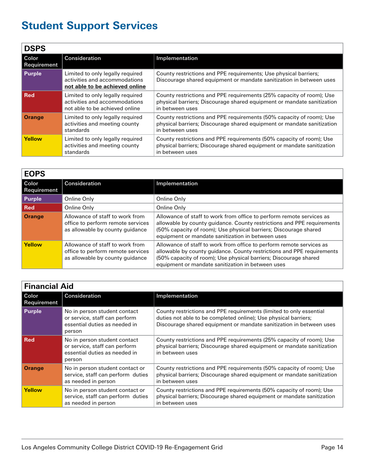<span id="page-13-0"></span>

| <b>DSPS</b>                 |                                                                                                     |                                                                                                                                                                   |
|-----------------------------|-----------------------------------------------------------------------------------------------------|-------------------------------------------------------------------------------------------------------------------------------------------------------------------|
| Color<br><b>Requirement</b> | Consideration                                                                                       | Implementation                                                                                                                                                    |
| <b>Purple</b>               | Limited to only legally required<br>activities and accommodations<br>not able to be achieved online | County restrictions and PPE requirements; Use physical barriers;<br>Discourage shared equipment or mandate sanitization in between uses                           |
| l Red                       | Limited to only legally required<br>activities and accommodations<br>not able to be achieved online | County restrictions and PPE requirements (25% capacity of room); Use<br>physical barriers; Discourage shared equipment or mandate sanitization<br>in between uses |
| <b>Orange</b>               | Limited to only legally required<br>activities and meeting county<br>standards                      | County restrictions and PPE requirements (50% capacity of room); Use<br>physical barriers; Discourage shared equipment or mandate sanitization<br>in between uses |
| <b>Yellow</b>               | Limited to only legally required<br>activities and meeting county<br>standards                      | County restrictions and PPE requirements (50% capacity of room); Use<br>physical barriers; Discourage shared equipment or mandate sanitization<br>in between uses |

| <b>EOPS</b>          |                                                                                                         |                                                                                                                                                                                                                                                                         |
|----------------------|---------------------------------------------------------------------------------------------------------|-------------------------------------------------------------------------------------------------------------------------------------------------------------------------------------------------------------------------------------------------------------------------|
| Color<br>Requirement | <b>Consideration</b>                                                                                    | Implementation                                                                                                                                                                                                                                                          |
| <b>Purple</b>        | Online Only                                                                                             | Online Only                                                                                                                                                                                                                                                             |
| Red                  | Online Only                                                                                             | Online Only                                                                                                                                                                                                                                                             |
| <b>Orange</b>        | Allowance of staff to work from<br>office to perform remote services<br>as allowable by county guidance | Allowance of staff to work from office to perform remote services as<br>allowable by county guidance. County restrictions and PPE requirements<br>(50% capacity of room); Use physical barriers; Discourage shared<br>equipment or mandate sanitization in between uses |
| <b>Yellow</b>        | Allowance of staff to work from<br>office to perform remote services<br>as allowable by county guidance | Allowance of staff to work from office to perform remote services as<br>allowable by county guidance. County restrictions and PPE requirements<br>(50% capacity of room); Use physical barriers; Discourage shared<br>equipment or mandate sanitization in between uses |

| <b>Financial Aid</b> |                                                                                                          |                                                                                                                                                                                                               |  |
|----------------------|----------------------------------------------------------------------------------------------------------|---------------------------------------------------------------------------------------------------------------------------------------------------------------------------------------------------------------|--|
| Color<br>Requirement | Consideration                                                                                            | Implementation                                                                                                                                                                                                |  |
| <b>Purple</b>        | No in person student contact<br>or service, staff can perform<br>essential duties as needed in<br>person | County restrictions and PPE requirements (limited to only essential<br>duties not able to be completed online); Use physical barriers;<br>Discourage shared equipment or mandate sanitization in between uses |  |
| <b>Red</b>           | No in person student contact<br>or service, staff can perform<br>essential duties as needed in<br>person | County restrictions and PPE requirements (25% capacity of room); Use<br>physical barriers; Discourage shared equipment or mandate sanitization<br>in between uses                                             |  |
| <b>Orange</b>        | No in person student contact or<br>service, staff can perform duties<br>as needed in person              | County restrictions and PPE requirements (50% capacity of room); Use<br>physical barriers; Discourage shared equipment or mandate sanitization<br>in between uses                                             |  |
| <b>Yellow</b>        | No in person student contact or<br>service, staff can perform duties<br>as needed in person              | County restrictions and PPE requirements (50% capacity of room); Use<br>physical barriers; Discourage shared equipment or mandate sanitization<br>in between uses                                             |  |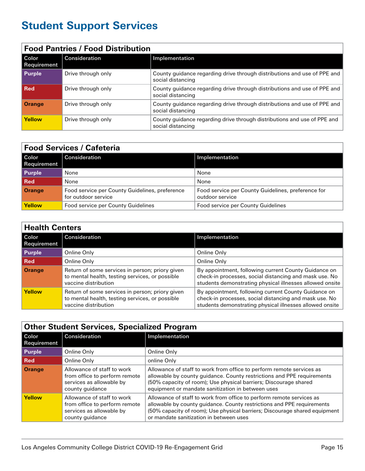<span id="page-14-0"></span>

| <b>Food Pantries / Food Distribution</b> |                    |                                                                                               |  |
|------------------------------------------|--------------------|-----------------------------------------------------------------------------------------------|--|
| l Color<br>Requirement                   | Consideration      | Implementation                                                                                |  |
| Purple                                   | Drive through only | County guidance regarding drive through distributions and use of PPE and<br>social distancing |  |
| l Red                                    | Drive through only | County guidance regarding drive through distributions and use of PPE and<br>social distancing |  |
| <b>Orange</b>                            | Drive through only | County guidance regarding drive through distributions and use of PPE and<br>social distancing |  |
| Yellow                                   | Drive through only | County guidance regarding drive through distributions and use of PPE and<br>social distancing |  |

| <b>Food Services / Cafeteria</b> |                                                                       |                                                                       |
|----------------------------------|-----------------------------------------------------------------------|-----------------------------------------------------------------------|
| Color<br>Requirement             | <b>Consideration</b>                                                  | Implementation                                                        |
| <b>Purple</b>                    | None                                                                  | None                                                                  |
| Red                              | None                                                                  | None                                                                  |
| Orange                           | Food service per County Guidelines, preference<br>for outdoor service | Food service per County Guidelines, preference for<br>outdoor service |
| <b>Yellow</b>                    | Food service per County Guidelines                                    | Food service per County Guidelines                                    |

| <b>Health Centers</b>  |                                                                                                                            |                                                                                                                                                                            |
|------------------------|----------------------------------------------------------------------------------------------------------------------------|----------------------------------------------------------------------------------------------------------------------------------------------------------------------------|
| l Color<br>Requirement | Consideration                                                                                                              | Implementation                                                                                                                                                             |
| <b>Purple</b>          | Online Only                                                                                                                | Online Only                                                                                                                                                                |
| l Red                  | Online Only                                                                                                                | Online Only                                                                                                                                                                |
| <b>Orange</b>          | Return of some services in person; priory given<br>to mental health, testing services, or possible<br>vaccine distribution | By appointment, following current County Guidance on<br>check-in processes, social distancing and mask use. No<br>students demonstrating physical illnesses allowed onsite |
| Yellow                 | Return of some services in person; priory given<br>to mental health, testing services, or possible<br>vaccine distribution | By appointment, following current County Guidance on<br>check-in processes, social distancing and mask use. No<br>students demonstrating physical illnesses allowed onsite |

| <b>Other Student Services, Specialized Program</b> |                                                                                                            |                                                                                                                                                                                                                                                                         |
|----------------------------------------------------|------------------------------------------------------------------------------------------------------------|-------------------------------------------------------------------------------------------------------------------------------------------------------------------------------------------------------------------------------------------------------------------------|
| Color<br>Requirement                               | Consideration                                                                                              | Implementation                                                                                                                                                                                                                                                          |
| <b>Purple</b>                                      | Online Only                                                                                                | Online Only                                                                                                                                                                                                                                                             |
| <b>Red</b>                                         | Online Only                                                                                                | online Only                                                                                                                                                                                                                                                             |
| <b>Orange</b>                                      | Allowance of staff to work<br>from office to perform remote<br>services as allowable by<br>county guidance | Allowance of staff to work from office to perform remote services as<br>allowable by county guidance. County restrictions and PPE requirements<br>(50% capacity of room); Use physical barriers; Discourage shared<br>equipment or mandate sanitization in between uses |
| <b>Yellow</b>                                      | Allowance of staff to work<br>from office to perform remote<br>services as allowable by<br>county guidance | Allowance of staff to work from office to perform remote services as<br>allowable by county guidance. County restrictions and PPE requirements<br>(50% capacity of room); Use physical barriers; Discourage shared equipment<br>or mandate sanitization in between uses |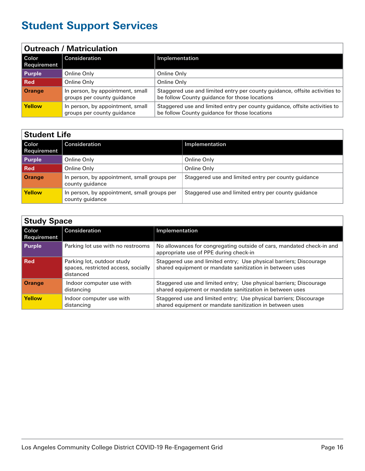<span id="page-15-0"></span>

| <b>Outreach / Matriculation</b> |                                                                |                                                                                                                             |
|---------------------------------|----------------------------------------------------------------|-----------------------------------------------------------------------------------------------------------------------------|
| l Color<br>Requirement          | Consideration                                                  | Implementation                                                                                                              |
| <b>Purple</b>                   | Online Only                                                    | Online Only                                                                                                                 |
| l Red                           | Online Only                                                    | Online Only                                                                                                                 |
| <b>Orange</b>                   | In person, by appointment, small<br>groups per county guidance | Staggered use and limited entry per county guidance, offsite activities to<br>be follow County guidance for those locations |
| <b>Yellow</b>                   | In person, by appointment, small<br>groups per county guidance | Staggered use and limited entry per county guidance, offsite activities to<br>be follow County guidance for those locations |

| <b>Student Life</b>         |                                                                |                                                     |
|-----------------------------|----------------------------------------------------------------|-----------------------------------------------------|
| Color<br><b>Requirement</b> | Consideration                                                  | Implementation                                      |
| <b>Purple</b>               | Online Only                                                    | Online Only                                         |
| l Red                       | Online Only                                                    | Online Only                                         |
| <b>Orange</b>               | In person, by appointment, small groups per<br>county quidance | Staggered use and limited entry per county quidance |
| <b>Yellow</b>               | In person, by appointment, small groups per<br>county guidance | Staggered use and limited entry per county guidance |

| <b>Study Space</b>     |                                                                                |                                                                                                                                |
|------------------------|--------------------------------------------------------------------------------|--------------------------------------------------------------------------------------------------------------------------------|
| l Color<br>Requirement | Consideration                                                                  | Implementation                                                                                                                 |
| Purple                 | Parking lot use with no restrooms                                              | No allowances for congregating outside of cars, mandated check-in and<br>appropriate use of PPE during check-in                |
| l Red                  | Parking lot, outdoor study<br>spaces, restricted access, socially<br>distanced | Staggered use and limited entry; Use physical barriers; Discourage<br>shared equipment or mandate sanitization in between uses |
| <b>Orange</b>          | Indoor computer use with<br>distancing                                         | Staggered use and limited entry; Use physical barriers; Discourage<br>shared equipment or mandate sanitization in between uses |
| Yellow                 | Indoor computer use with<br>distancing                                         | Staggered use and limited entry; Use physical barriers; Discourage<br>shared equipment or mandate sanitization in between uses |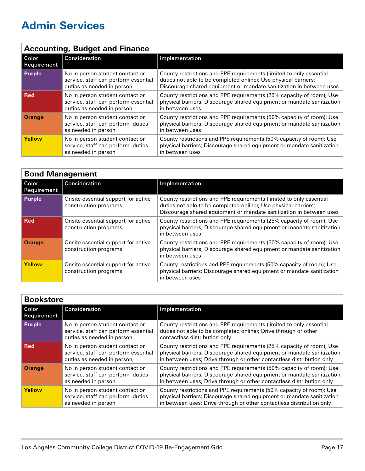<span id="page-16-0"></span>

| <b>Accounting, Budget and Finance</b> |                                                                                                       |                                                                                                                                                                                                               |
|---------------------------------------|-------------------------------------------------------------------------------------------------------|---------------------------------------------------------------------------------------------------------------------------------------------------------------------------------------------------------------|
| l Color<br>Requirement                | Consideration                                                                                         | Implementation                                                                                                                                                                                                |
| Purple                                | No in person student contact or<br>service, staff can perform essential<br>duties as needed in person | County restrictions and PPE requirements (limited to only essential<br>duties not able to be completed online); Use physical barriers;<br>Discourage shared equipment or mandate sanitization in between uses |
| ∣ Red                                 | No in person student contact or<br>service, staff can perform essential<br>duties as needed in person | County restrictions and PPE requirements (25% capacity of room); Use<br>physical barriers; Discourage shared equipment or mandate sanitization<br>in between uses                                             |
| <b>Orange</b>                         | No in person student contact or<br>service, staff can perform duties<br>as needed in person           | County restrictions and PPE requirements (50% capacity of room); Use<br>physical barriers; Discourage shared equipment or mandate sanitization<br>in between uses                                             |
| <b>Yellow</b>                         | No in person student contact or<br>service, staff can perform duties<br>as needed in person           | County restrictions and PPE requirements (50% capacity of room); Use<br>physical barriers; Discourage shared equipment or mandate sanitization<br>in between uses                                             |

| <b>Bond Management</b> |                                                              |                                                                                                                                                                                                               |
|------------------------|--------------------------------------------------------------|---------------------------------------------------------------------------------------------------------------------------------------------------------------------------------------------------------------|
| Color<br>Requirement   | Consideration                                                | Implementation                                                                                                                                                                                                |
| Purple                 | Onsite essential support for active<br>construction programs | County restrictions and PPE requirements (limited to only essential<br>duties not able to be completed online); Use physical barriers;<br>Discourage shared equipment or mandate sanitization in between uses |
| <b>Red</b>             | Onsite essential support for active<br>construction programs | County restrictions and PPE requirements (25% capacity of room); Use<br>physical barriers; Discourage shared equipment or mandate sanitization<br>in between uses                                             |
| <b>Orange</b>          | Onsite essential support for active<br>construction programs | County restrictions and PPE requirements (50% capacity of room); Use<br>physical barriers; Discourage shared equipment or mandate sanitization<br>in between uses                                             |
| <b>Yellow</b>          | Onsite essential support for active<br>construction programs | County restrictions and PPE requirements (50% capacity of room); Use<br>physical barriers; Discourage shared equipment or mandate sanitization<br>in between uses                                             |

| <b>Bookstore</b>            |                                                                                                        |                                                                                                                                                                                                                         |
|-----------------------------|--------------------------------------------------------------------------------------------------------|-------------------------------------------------------------------------------------------------------------------------------------------------------------------------------------------------------------------------|
| Color<br><b>Requirement</b> | Consideration                                                                                          | Implementation                                                                                                                                                                                                          |
| <b>Purple</b>               | No in person student contact or<br>service, staff can perform essential<br>duties as needed in person  | County restrictions and PPE requirements (limited to only essential<br>duties not able to be completed online); Drive through or other<br>contactless distribution only                                                 |
| l Red                       | No in person student contact or<br>service, staff can perform essential<br>duties as needed in person; | County restrictions and PPE requirements (25% capacity of room); Use<br>physical barriers; Discourage shared equipment or mandate sanitization<br>in between uses; Drive through or other contactless distribution only |
| <b>Orange</b>               | No in person student contact or<br>service, staff can perform duties<br>as needed in person            | County restrictions and PPE requirements (50% capacity of room); Use<br>physical barriers; Discourage shared equipment or mandate sanitization<br>in between uses; Drive through or other contactless distribution only |
| <b>Yellow</b>               | No in person student contact or<br>service, staff can perform duties<br>as needed in person            | County restrictions and PPE requirements (50% capacity of room); Use<br>physical barriers; Discourage shared equipment or mandate sanitization<br>in between uses; Drive through or other contactless distribution only |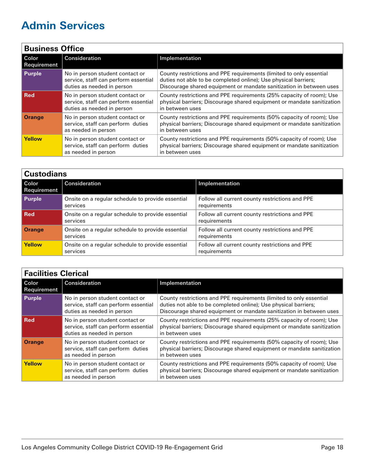<span id="page-17-0"></span>

| <b>Business Office</b>        |                                                                                                       |                                                                                                                                                                                                               |
|-------------------------------|-------------------------------------------------------------------------------------------------------|---------------------------------------------------------------------------------------------------------------------------------------------------------------------------------------------------------------|
| l Color<br><b>Requirement</b> | Consideration                                                                                         | Implementation                                                                                                                                                                                                |
| <b>Purple</b>                 | No in person student contact or<br>service, staff can perform essential<br>duties as needed in person | County restrictions and PPE requirements (limited to only essential<br>duties not able to be completed online); Use physical barriers;<br>Discourage shared equipment or mandate sanitization in between uses |
| l Red                         | No in person student contact or<br>service, staff can perform essential<br>duties as needed in person | County restrictions and PPE requirements (25% capacity of room); Use<br>physical barriers; Discourage shared equipment or mandate sanitization<br>in between uses                                             |
| <b>Orange</b>                 | No in person student contact or<br>service, staff can perform duties<br>as needed in person           | County restrictions and PPE requirements (50% capacity of room); Use<br>physical barriers; Discourage shared equipment or mandate sanitization<br>in between uses                                             |
| <b>Yellow</b>                 | No in person student contact or<br>service, staff can perform duties<br>as needed in person           | County restrictions and PPE requirements (50% capacity of room); Use<br>physical barriers; Discourage shared equipment or mandate sanitization<br>in between uses                                             |

| <b>Custodians</b>    |                                                               |                                                                |
|----------------------|---------------------------------------------------------------|----------------------------------------------------------------|
| Color<br>Requirement | Consideration                                                 | Implementation                                                 |
| Purple               | Onsite on a regular schedule to provide essential<br>services | Follow all current county restrictions and PPE<br>requirements |
| l Red                | Onsite on a regular schedule to provide essential<br>services | Follow all current county restrictions and PPE<br>requirements |
| <b>Orange</b>        | Onsite on a regular schedule to provide essential<br>services | Follow all current county restrictions and PPE<br>requirements |
| <b>Yellow</b>        | Onsite on a regular schedule to provide essential<br>services | Follow all current county restrictions and PPE<br>requirements |

| <b>Facilities Clerical</b> |                                                                                                       |                                                                                                                                                                                                               |
|----------------------------|-------------------------------------------------------------------------------------------------------|---------------------------------------------------------------------------------------------------------------------------------------------------------------------------------------------------------------|
| l Color<br>Requirement     | Consideration                                                                                         | Implementation                                                                                                                                                                                                |
| Purple                     | No in person student contact or<br>service, staff can perform essential<br>duties as needed in person | County restrictions and PPE requirements (limited to only essential<br>duties not able to be completed online); Use physical barriers;<br>Discourage shared equipment or mandate sanitization in between uses |
| <b>Red</b>                 | No in person student contact or<br>service, staff can perform essential<br>duties as needed in person | County restrictions and PPE requirements (25% capacity of room); Use<br>physical barriers; Discourage shared equipment or mandate sanitization<br>in between uses                                             |
| <b>Orange</b>              | No in person student contact or<br>service, staff can perform duties<br>as needed in person           | County restrictions and PPE requirements (50% capacity of room); Use<br>physical barriers; Discourage shared equipment or mandate sanitization<br>in between uses                                             |
| Yellow                     | No in person student contact or<br>service, staff can perform duties<br>as needed in person           | County restrictions and PPE requirements (50% capacity of room); Use<br>physical barriers; Discourage shared equipment or mandate sanitization<br>in between uses                                             |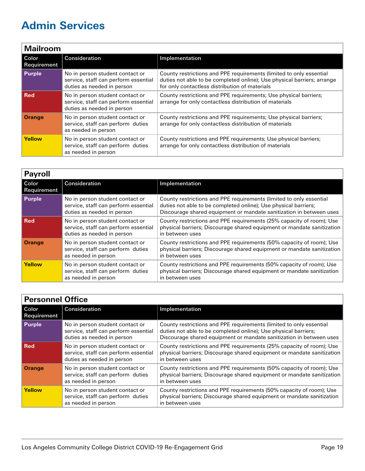<span id="page-18-0"></span>

| <b>Mailroom</b>        |                                                                                                       |                                                                                                                                                                                                  |
|------------------------|-------------------------------------------------------------------------------------------------------|--------------------------------------------------------------------------------------------------------------------------------------------------------------------------------------------------|
| l Color<br>Requirement | Consideration                                                                                         | Implementation                                                                                                                                                                                   |
| <b>Purple</b>          | No in person student contact or<br>service, staff can perform essential<br>duties as needed in person | County restrictions and PPE requirements (limited to only essential<br>duties not able to be completed online); Use physical barriers; arrange<br>for only contactless distribution of materials |
| ∣ Red                  | No in person student contact or<br>service, staff can perform essential<br>duties as needed in person | County restrictions and PPE requirements; Use physical barriers;<br>arrange for only contactless distribution of materials                                                                       |
| <b>Orange</b>          | No in person student contact or<br>service, staff can perform duties<br>as needed in person           | County restrictions and PPE requirements; Use physical barriers;<br>arrange for only contactless distribution of materials                                                                       |
| <b>Yellow</b>          | No in person student contact or<br>service, staff can perform duties<br>as needed in person           | County restrictions and PPE requirements; Use physical barriers;<br>arrange for only contactless distribution of materials                                                                       |

| <b>Payroll</b>         |                                                                                                       |                                                                                                                                                                                                               |
|------------------------|-------------------------------------------------------------------------------------------------------|---------------------------------------------------------------------------------------------------------------------------------------------------------------------------------------------------------------|
| l Color<br>Requirement | Consideration                                                                                         | Implementation                                                                                                                                                                                                |
| Purple                 | No in person student contact or<br>service, staff can perform essential<br>duties as needed in person | County restrictions and PPE requirements (limited to only essential<br>duties not able to be completed online); Use physical barriers;<br>Discourage shared equipment or mandate sanitization in between uses |
| <b>Red</b>             | No in person student contact or<br>service, staff can perform essential<br>duties as needed in person | County restrictions and PPE requirements (25% capacity of room); Use<br>physical barriers; Discourage shared equipment or mandate sanitization<br>in between uses                                             |
| <b>Orange</b>          | No in person student contact or<br>service, staff can perform duties<br>as needed in person           | County restrictions and PPE requirements (50% capacity of room); Use<br>physical barriers; Discourage shared equipment or mandate sanitization<br>in between uses                                             |
| <b>Yellow</b>          | No in person student contact or<br>service, staff can perform duties<br>as needed in person           | County restrictions and PPE requirements (50% capacity of room); Use<br>physical barriers; Discourage shared equipment or mandate sanitization<br>in between uses                                             |

| <b>Personnel Office</b>       |                                                                                                       |                                                                                                                                                                                                               |
|-------------------------------|-------------------------------------------------------------------------------------------------------|---------------------------------------------------------------------------------------------------------------------------------------------------------------------------------------------------------------|
| l Color<br><b>Requirement</b> | Consideration                                                                                         | Implementation                                                                                                                                                                                                |
| <b>Purple</b>                 | No in person student contact or<br>service, staff can perform essential<br>duties as needed in person | County restrictions and PPE requirements (limited to only essential<br>duties not able to be completed online); Use physical barriers;<br>Discourage shared equipment or mandate sanitization in between uses |
| l Red                         | No in person student contact or<br>service, staff can perform essential<br>duties as needed in person | County restrictions and PPE requirements (25% capacity of room); Use<br>physical barriers; Discourage shared equipment or mandate sanitization<br>in between uses                                             |
| <b>Orange</b>                 | No in person student contact or<br>service, staff can perform duties<br>as needed in person           | County restrictions and PPE requirements (50% capacity of room); Use<br>physical barriers; Discourage shared equipment or mandate sanitization<br>in between uses                                             |
| <b>Yellow</b>                 | No in person student contact or<br>service, staff can perform duties<br>as needed in person           | County restrictions and PPE requirements (50% capacity of room); Use<br>physical barriers; Discourage shared equipment or mandate sanitization<br>in between uses                                             |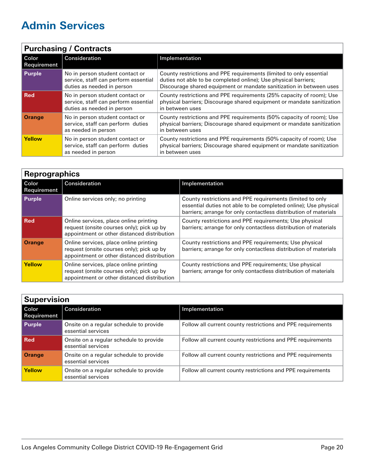<span id="page-19-0"></span>

| <b>Purchasing / Contracts</b> |                                                                                                       |                                                                                                                                                                                                               |
|-------------------------------|-------------------------------------------------------------------------------------------------------|---------------------------------------------------------------------------------------------------------------------------------------------------------------------------------------------------------------|
| Color<br>Requirement          | Consideration                                                                                         | Implementation                                                                                                                                                                                                |
| Purple                        | No in person student contact or<br>service, staff can perform essential<br>duties as needed in person | County restrictions and PPE requirements (limited to only essential<br>duties not able to be completed online); Use physical barriers;<br>Discourage shared equipment or mandate sanitization in between uses |
| <b>Red</b>                    | No in person student contact or<br>service, staff can perform essential<br>duties as needed in person | County restrictions and PPE requirements (25% capacity of room); Use<br>physical barriers; Discourage shared equipment or mandate sanitization<br>in between uses                                             |
| <b>Orange</b>                 | No in person student contact or<br>service, staff can perform duties<br>as needed in person           | County restrictions and PPE requirements (50% capacity of room); Use<br>physical barriers; Discourage shared equipment or mandate sanitization<br>in between uses                                             |
| Yellow                        | No in person student contact or<br>service, staff can perform duties<br>as needed in person           | County restrictions and PPE requirements (50% capacity of room); Use<br>physical barriers; Discourage shared equipment or mandate sanitization<br>in between uses                                             |

| <b>Reprographics</b>          |                                                                                                                                    |                                                                                                                                                                                                  |
|-------------------------------|------------------------------------------------------------------------------------------------------------------------------------|--------------------------------------------------------------------------------------------------------------------------------------------------------------------------------------------------|
| l Color<br><b>Requirement</b> | Consideration                                                                                                                      | Implementation                                                                                                                                                                                   |
| Purple                        | Online services only; no printing                                                                                                  | County restrictions and PPE requirements (limited to only<br>essential duties not able to be completed online); Use physical<br>barriers; arrange for only contactless distribution of materials |
| <b>Red</b>                    | Online services, place online printing<br>request (onsite courses only); pick up by<br>appointment or other distanced distribution | County restrictions and PPE requirements; Use physical<br>barriers; arrange for only contactless distribution of materials                                                                       |
| <b>Orange</b>                 | Online services, place online printing<br>request (onsite courses only); pick up by<br>appointment or other distanced distribution | County restrictions and PPE requirements; Use physical<br>barriers; arrange for only contactless distribution of materials                                                                       |
| Yellow                        | Online services, place online printing<br>request (onsite courses only); pick up by<br>appointment or other distanced distribution | County restrictions and PPE requirements; Use physical<br>barriers; arrange for only contactless distribution of materials                                                                       |

| <b>Supervision</b>     |                                                               |                                                             |
|------------------------|---------------------------------------------------------------|-------------------------------------------------------------|
| l Color<br>Requirement | Consideration                                                 | Implementation                                              |
| Purple                 | Onsite on a regular schedule to provide<br>essential services | Follow all current county restrictions and PPE requirements |
| l Red                  | Onsite on a regular schedule to provide<br>essential services | Follow all current county restrictions and PPE requirements |
| <b>Orange</b>          | Onsite on a regular schedule to provide<br>essential services | Follow all current county restrictions and PPE requirements |
| <b>Yellow</b>          | Onsite on a regular schedule to provide<br>essential services | Follow all current county restrictions and PPE requirements |